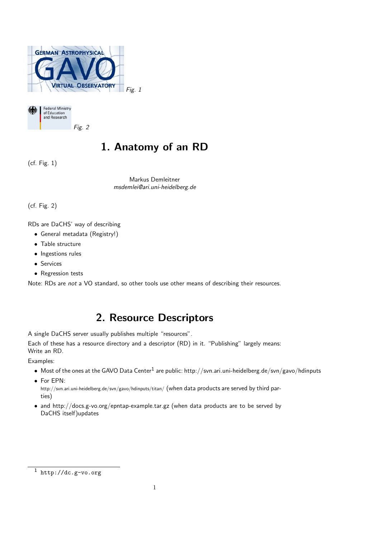



# 1. Anatomy of an RD

(cf. Fig. 1)

Markus Demleitner msdemlei@ari.uni-heidelberg.de

(cf. Fig. 2)

RDs are DaCHS' way of describing

- General metadata (Registry!)
- Table structure
- Ingestions rules
- Services
- Regression tests

Note: RDs are not a VO standard, so other tools use other means of describing their resources.

## 2. Resource Descriptors

A single DaCHS server usually publishes multiple "resources".

Each of these has a resource directory and a descriptor (RD) in it. "Publishing" largely means: Write an RD.

Examples:

- $\bullet~$  Most of the ones at the GAVO Data Center $^1$  are public: http://svn.ari.uni-heidelberg.de/svn/gavo/hdinputs
- For EPN:
- http://svn.ari.uni-heidelberg.de/svn/gavo/hdinputs/titan/ (when data products are served by third parties)
- and http://docs.g-vo.org/epntap-example.tar.gz (when data products are to be served by DaCHS itself)updates

 $\overline{1 \text{ http://dc.g-vo.org}}$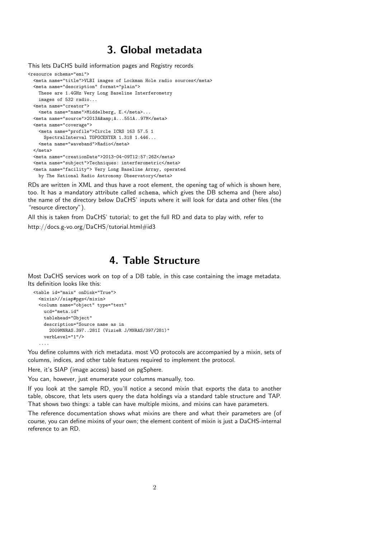#### 3. Global metadata

```
This lets DaCHS build information pages and Registry records
<resource schema="emi">
  <meta name="title">VLBI images of Lockman Hole radio sources</meta>
  <meta name="description" format="plain">
   These are 1.4GHz Very Long Baseline Interferometry
   images of 532 radio...
  <meta name="creator">
    <meta name="name">Middelberg, E.</meta>...
  <meta name="source">2013A&amp; A...551A..97M</meta>
  <meta name="coverage">
    <meta name="profile">Circle ICRS 163 57.5 1
     SpectralInterval TOPOCENTER 1.318 1.446...
    <meta name="waveband">Radio</meta>
  </meta>
  <meta name="creationDate">2013-04-09T12:57:26Z</meta>
  <meta name="subject">Techniques: interferometric</meta>
  <meta name="facility"> Very Long Baseline Array, operated
   by The National Radio Astronomy Observatory</meta>
```
RDs are written in XML and thus have a root element, the opening tag of which is shown here, too. It has a mandatory attribute called schema, which gives the DB schema and (here also) the name of the directory below DaCHS' inputs where it will look for data and other files (the "resource directory").

All this is taken from DaCHS' tutorial; to get the full RD and data to play with, refer to

http://docs.g-vo.org/DaCHS/tutorial.html#id3

### 4. Table Structure

Most DaCHS services work on top of a DB table, in this case containing the image metadata. Its definition looks like this:

```
<table id="main" onDisk="True">
  <mixin>//siap#pgs</mixin>
  <column name="object" type="text"
   ucd="meta.id"
   tablehead="Object"
   description="Source name as in
     2009MNRAS.397..281I (VizieR J/MNRAS/397/281)"
   verbLevel="1"/>
  ....
```
You define columns with rich metadata. most VO protocols are accompanied by a mixin, sets of columns, indices, and other table features required to implement the protocol.

Here, it's SIAP (image access) based on pgSphere.

You can, however, just enumerate your columns manually, too.

If you look at the sample RD, you'll notice a second mixin that exports the data to another table, obscore, that lets users query the data holdings via a standard table structure and TAP. That shows two things: a table can have multiple mixins, and mixins can have parameters.

The reference documentation shows what mixins are there and what their parameters are (of course, you can define mixins of your own; the element content of mixin is just a DaCHS-internal reference to an RD.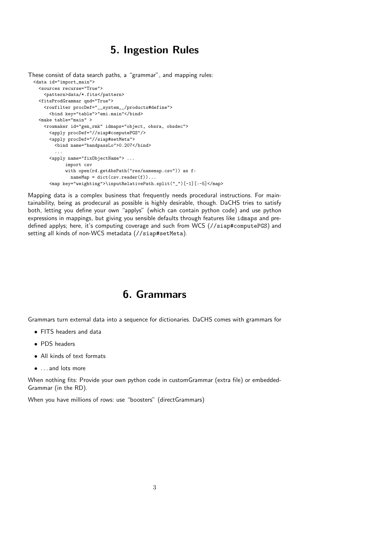#### 5. Ingestion Rules

```
These consist of data search paths, a "grammar", and mapping rules:
 <data id="import_main">
   <sources recurse="True">
     <pattern>data/*.fits</pattern>
   <fitsProdGrammar qnd="True">
     <rowfilter procDef="__system__/products#define">
       <bind key="table">"emi.main"</bind>
   <make table="main" >
     <rowmaker id="gen_rmk" idmaps="object, obsra, obsdec">
       <apply procDef="//siap#computePGS"/>
       <apply procDef="//siap#setMeta">
         <bind name="bandpassLo">0.207</bind>
          ...
       <apply name="fixObjectName"> ...
             import csv
             with open(rd.getAbsPath("res/namemap.csv")) as f:
               nameMap = dict(csv.reader(f))...<map key="weighting">\inputRelativePath.split("_")[-1][:-5]</map>
```
Mapping data is a complex business that frequently needs procedural instructions. For maintainability, being as prodecural as possible is highly desirable, though. DaCHS tries to satisfy both, letting you define your own "applys" (which can contain python code) and use python expressions in mappings, but giving you sensible defaults through features like idmaps and predefined applys; here, it's computing coverage and such from WCS (//siap#computePGS) and setting all kinds of non-WCS metadata (//siap#setMeta).

#### 6. Grammars

Grammars turn external data into a sequence for dictionaries. DaCHS comes with grammars for

- FITS headers and data
- PDS headers
- All kinds of text formats
- . . . and lots more

When nothing fits: Provide your own python code in customGrammar (extra file) or embedded-Grammar (in the RD).

When you have millions of rows: use "boosters" (directGrammars)